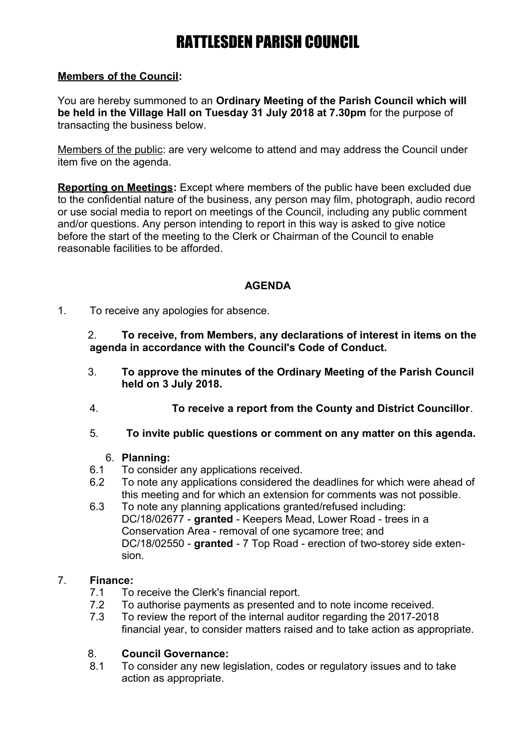# RATTLESDEN PARISH COUNCIL

# **Members of the Council:**

You are hereby summoned to an **Ordinary Meeting of the Parish Council which will be held in the Village Hall on Tuesday 31 July 2018 at 7.30pm** for the purpose of transacting the business below.

Members of the public: are very welcome to attend and may address the Council under item five on the agenda.

**Reporting on Meetings:** Except where members of the public have been excluded due to the confidential nature of the business, any person may film, photograph, audio record or use social media to report on meetings of the Council, including any public comment and/or questions. Any person intending to report in this way is asked to give notice before the start of the meeting to the Clerk or Chairman of the Council to enable reasonable facilities to be afforded.

# **AGENDA**

1. To receive any apologies for absence.

2. **To receive, from Members, any declarations of interest in items on the agenda in accordance with the Council's Code of Conduct.**

- 3. **To approve the minutes of the Ordinary Meeting of the Parish Council held on 3 July 2018.**
- 4. **To receive a report from the County and District Councillor**.
- 5. **To invite public questions or comment on any matter on this agenda.**

## 6. **Planning:**

- 6.1 To consider any applications received.
- 6.2 To note any applications considered the deadlines for which were ahead of this meeting and for which an extension for comments was not possible.
- 6.3 To note any planning applications granted/refused including: DC/18/02677 - **granted** - Keepers Mead, Lower Road - trees in a Conservation Area - removal of one sycamore tree; and DC/18/02550 - **granted** - 7 Top Road - erection of two-storey side extension.

## 7. **Finance:**

- 7.1 To receive the Clerk's financial report.
- 7.2 To authorise payments as presented and to note income received.
- 7.3 To review the report of the internal auditor regarding the 2017-2018 financial year, to consider matters raised and to take action as appropriate.

# 8. **Council Governance:**

8.1 To consider any new legislation, codes or regulatory issues and to take action as appropriate.